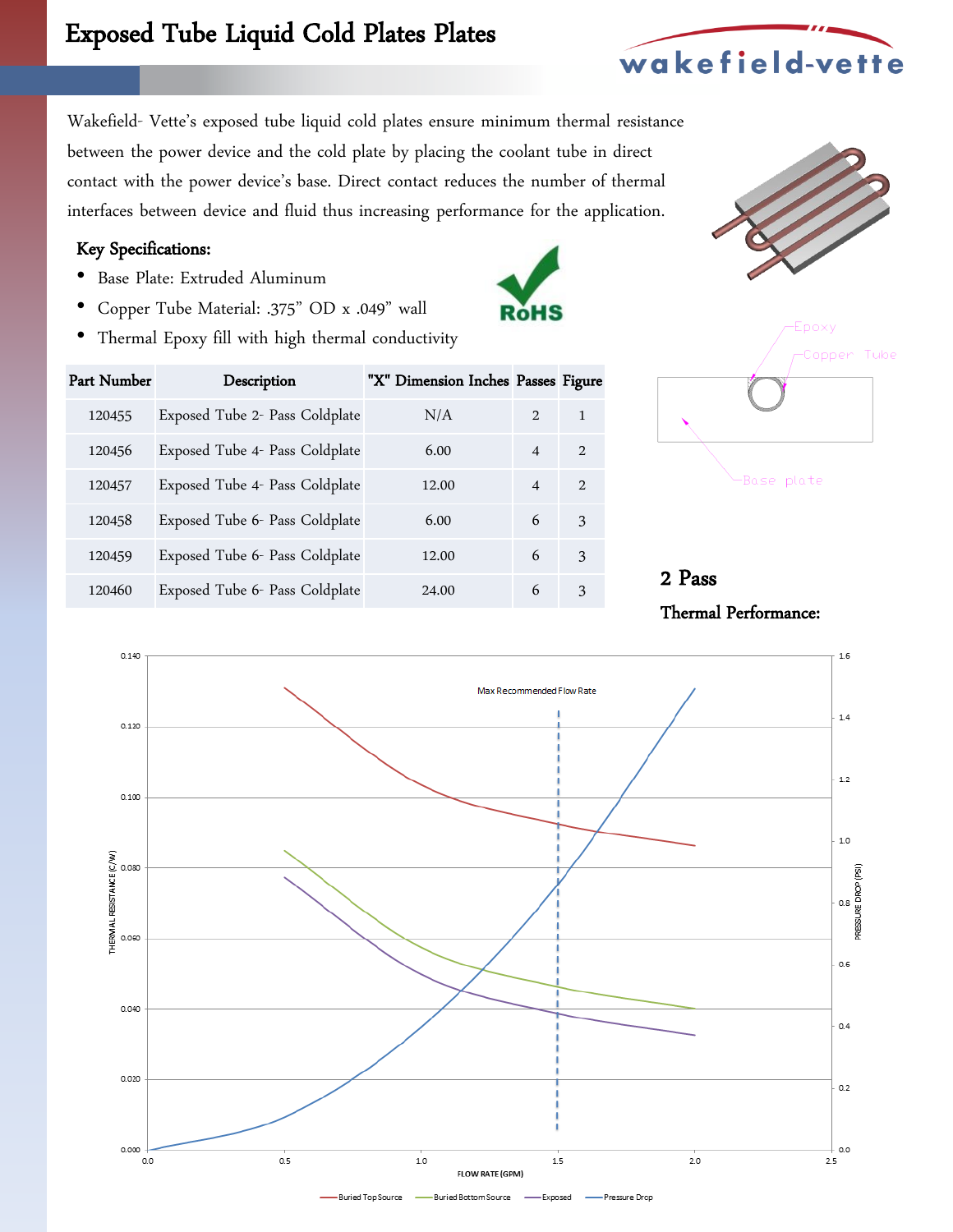Wakefield- Vette's exposed tube liquid cold plates ensure minimum thermal resistance between the power device and the cold plate by placing the coolant tube in direct contact with the power device's base. Direct contact reduces the number of thermal interfaces between device and fluid thus increasing performance for the application.

#### Key Specifications:

- Base Plate: Extruded Aluminum
- Copper Tube Material: .375" OD x .049" wall
- Thermal Epoxy fill with high thermal conductivity

| Part Number | Description                    | "X" Dimension Inches Passes Figure |                          |                             |
|-------------|--------------------------------|------------------------------------|--------------------------|-----------------------------|
| 120455      | Exposed Tube 2- Pass Coldplate | N/A                                | $\mathcal{L}$            | 1                           |
| 120456      | Exposed Tube 4- Pass Coldplate | 6.00                               | $\boldsymbol{\varDelta}$ | $\mathcal{D}_{\mathcal{L}}$ |
| 120457      | Exposed Tube 4- Pass Coldplate | 12.00                              | $\overline{\mathcal{A}}$ | $\mathcal{D}_{\mathcal{L}}$ |
| 120458      | Exposed Tube 6- Pass Coldplate | 6.00                               | 6                        | 3                           |
| 120459      | Exposed Tube 6- Pass Coldplate | 12.00                              | 6                        | 3                           |
| 120460      | Exposed Tube 6- Pass Coldplate | 24.00                              | 6                        | 3                           |



-Base plate

2 Pass

Thermal Performance:





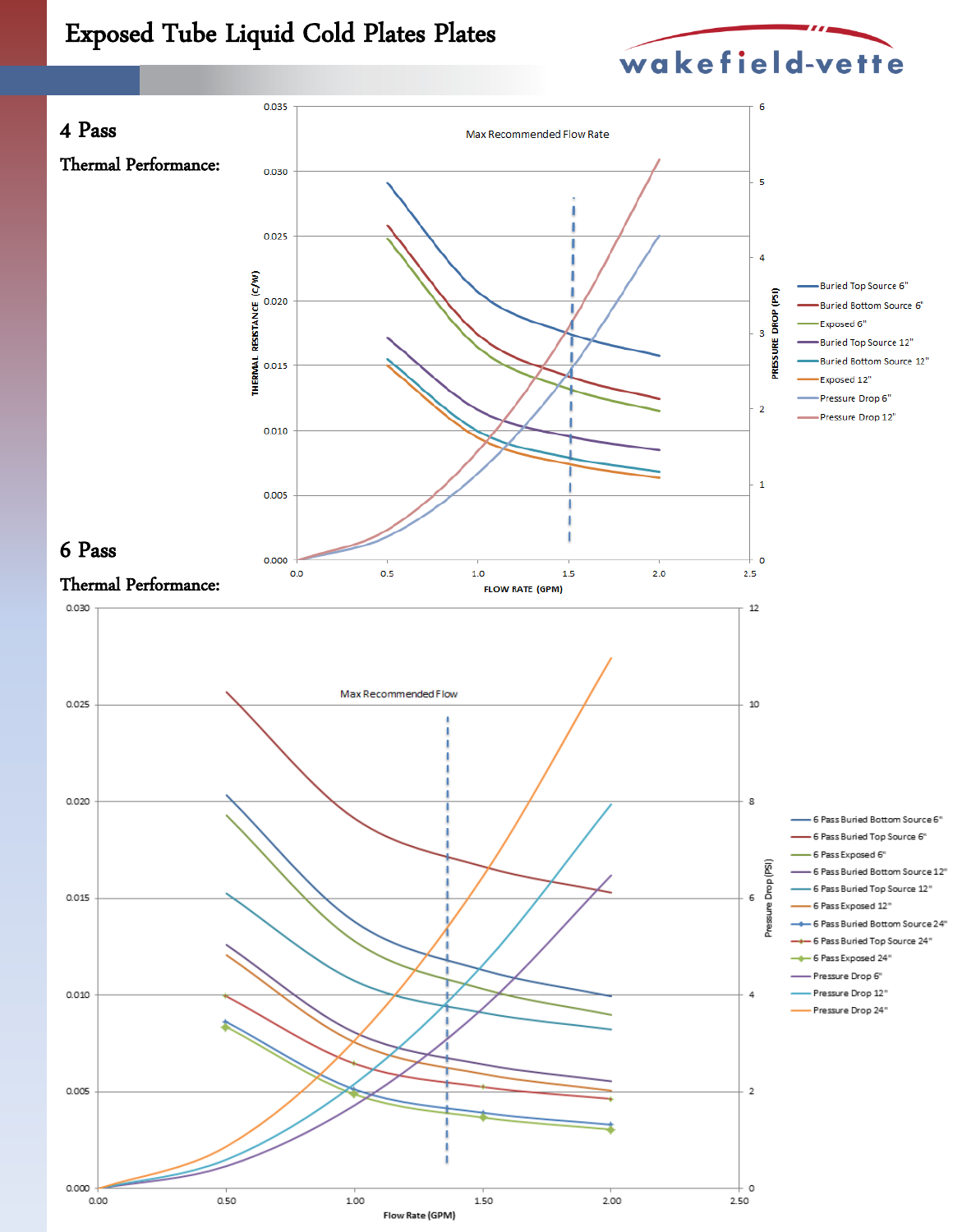

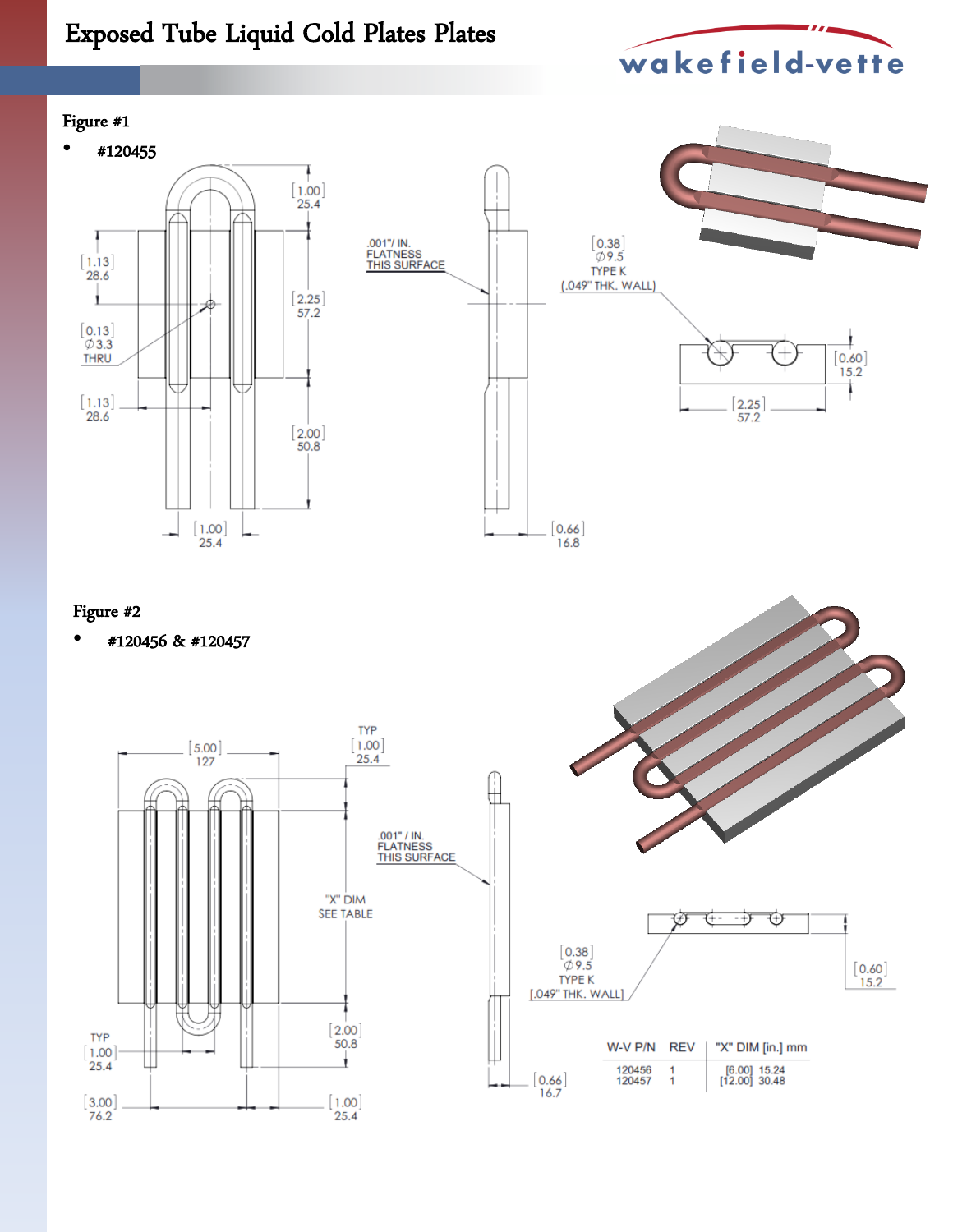